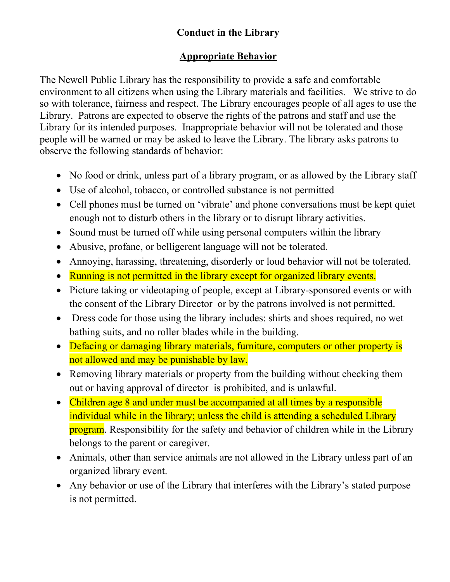## **Conduct in the Library**

## **Appropriate Behavior**

The Newell Public Library has the responsibility to provide a safe and comfortable environment to all citizens when using the Library materials and facilities. We strive to do so with tolerance, fairness and respect. The Library encourages people of all ages to use the Library. Patrons are expected to observe the rights of the patrons and staff and use the Library for its intended purposes. Inappropriate behavior will not be tolerated and those people will be warned or may be asked to leave the Library. The library asks patrons to observe the following standards of behavior:

- No food or drink, unless part of a library program, or as allowed by the Library staff
- Use of alcohol, tobacco, or controlled substance is not permitted
- Cell phones must be turned on 'vibrate' and phone conversations must be kept quiet enough not to disturb others in the library or to disrupt library activities.
- Sound must be turned off while using personal computers within the library
- Abusive, profane, or belligerent language will not be tolerated.
- Annoying, harassing, threatening, disorderly or loud behavior will not be tolerated.
- Running is not permitted in the library except for organized library events.
- Picture taking or videotaping of people, except at Library-sponsored events or with the consent of the Library Director or by the patrons involved is not permitted.
- Dress code for those using the library includes: shirts and shoes required, no wet bathing suits, and no roller blades while in the building.
- Defacing or damaging library materials, furniture, computers or other property is not allowed and may be punishable by law.
- Removing library materials or property from the building without checking them out or having approval of director is prohibited, and is unlawful.
- Children age 8 and under must be accompanied at all times by a responsible individual while in the library; unless the child is attending a scheduled Library program. Responsibility for the safety and behavior of children while in the Library belongs to the parent or caregiver.
- Animals, other than service animals are not allowed in the Library unless part of an organized library event.
- Any behavior or use of the Library that interferes with the Library's stated purpose is not permitted.